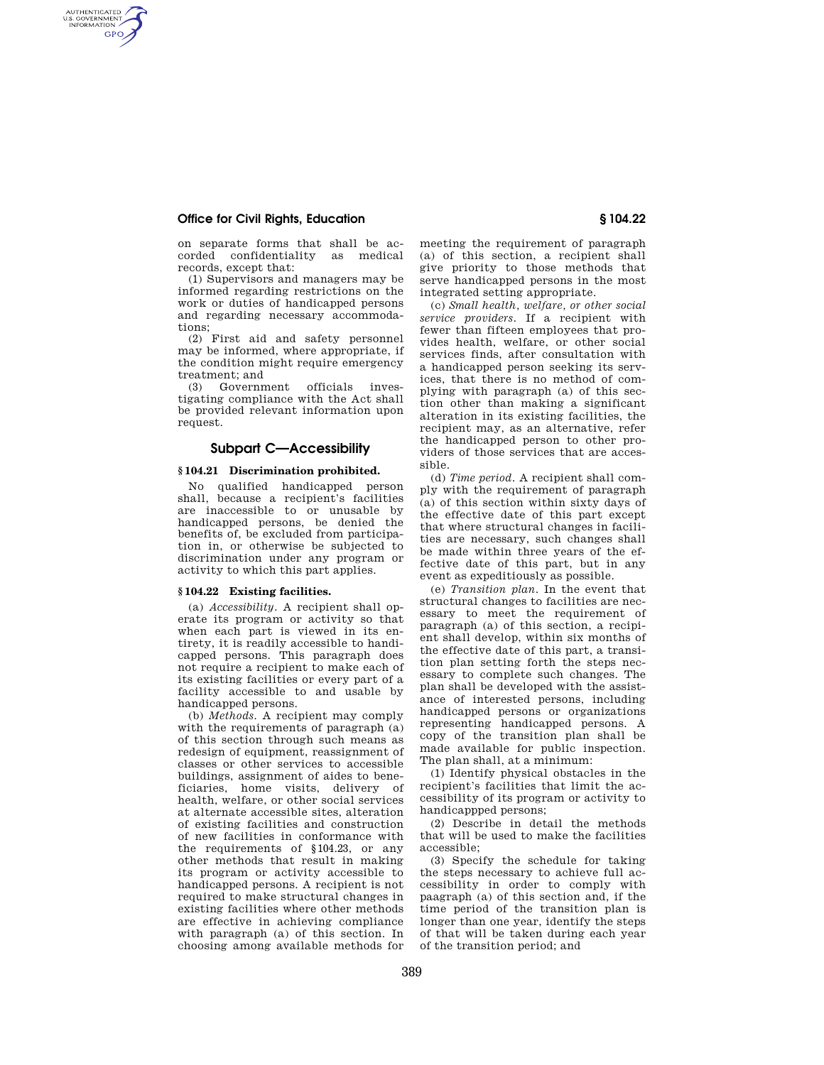## **Office for Civil Rights, Education § 104.22**

AUTHENTICATED<br>U.S. GOVERNMENT<br>INFORMATION **GPO** 

> on separate forms that shall be accorded confidentiality as medical records, except that:

> (1) Supervisors and managers may be informed regarding restrictions on the work or duties of handicapped persons and regarding necessary accommodations;

> (2) First aid and safety personnel may be informed, where appropriate, if the condition might require emergency treatment; and

> (3) Government officials investigating compliance with the Act shall be provided relevant information upon request.

## **Subpart C—Accessibility**

# **§ 104.21 Discrimination prohibited.**

No qualified handicapped person shall, because a recipient's facilities are inaccessible to or unusable by handicapped persons, be denied the benefits of, be excluded from participation in, or otherwise be subjected to discrimination under any program or activity to which this part applies.

#### **§ 104.22 Existing facilities.**

(a) *Accessibility.* A recipient shall operate its program or activity so that when each part is viewed in its entirety, it is readily accessible to handicapped persons. This paragraph does not require a recipient to make each of its existing facilities or every part of a facility accessible to and usable by handicapped persons.

(b) *Methods.* A recipient may comply with the requirements of paragraph (a) of this section through such means as redesign of equipment, reassignment of classes or other services to accessible buildings, assignment of aides to beneficiaries, home visits, delivery of health, welfare, or other social services at alternate accessible sites, alteration of existing facilities and construction of new facilities in conformance with the requirements of §104.23, or any other methods that result in making its program or activity accessible to handicapped persons. A recipient is not required to make structural changes in existing facilities where other methods are effective in achieving compliance with paragraph (a) of this section. In choosing among available methods for

meeting the requirement of paragraph (a) of this section, a recipient shall give priority to those methods that serve handicapped persons in the most integrated setting appropriate.

(c) *Small health, welfare, or other social service providers.* If a recipient with fewer than fifteen employees that provides health, welfare, or other social services finds, after consultation with a handicapped person seeking its services, that there is no method of complying with paragraph (a) of this section other than making a significant alteration in its existing facilities, the recipient may, as an alternative, refer the handicapped person to other providers of those services that are accessible.

(d) *Time period.* A recipient shall comply with the requirement of paragraph (a) of this section within sixty days of the effective date of this part except that where structural changes in facilities are necessary, such changes shall be made within three years of the effective date of this part, but in any event as expeditiously as possible.

(e) *Transition plan.* In the event that structural changes to facilities are necessary to meet the requirement of paragraph (a) of this section, a recipient shall develop, within six months of the effective date of this part, a transition plan setting forth the steps necessary to complete such changes. The plan shall be developed with the assistance of interested persons, including handicapped persons or organizations representing handicapped persons. A copy of the transition plan shall be made available for public inspection. The plan shall, at a minimum:

(1) Identify physical obstacles in the recipient's facilities that limit the accessibility of its program or activity to handicappped persons;

(2) Describe in detail the methods that will be used to make the facilities accessible;

(3) Specify the schedule for taking the steps necessary to achieve full accessibility in order to comply with paagraph (a) of this section and, if the time period of the transition plan is longer than one year, identify the steps of that will be taken during each year of the transition period; and